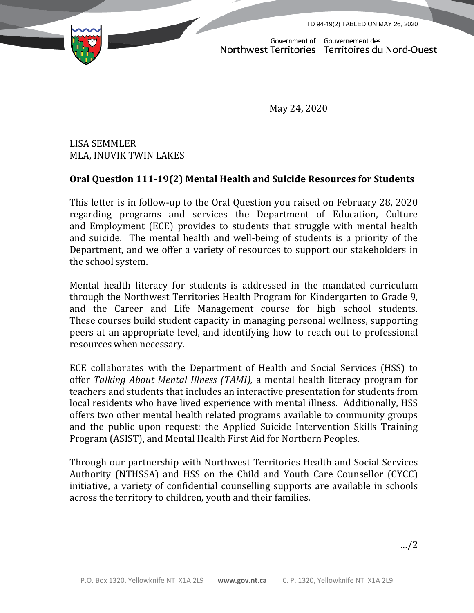TD 94-19(2) TABLED ON MAY 26, 2020



Government of Gouvernement des<br>Northwest Territories Territoires du Nord-Ouest

May 24, 2020

## LISA SEMMLER MLA, INUVIK TWIN LAKES

## **Oral Question 111-19(2) Mental Health and Suicide Resources for Students**

This letter is in follow-up to the Oral Question you raised on February 28, 2020 regarding programs and services the Department of Education, Culture and Employment (ECE) provides to students that struggle with mental health and suicide. The mental health and well-being of students is a priority of the Department, and we offer a variety of resources to support our stakeholders in the school system.

Mental health literacy for students is addressed in the mandated curriculum through the Northwest Territories Health Program for Kindergarten to Grade 9, and the Career and Life Management course for high school students. These courses build student capacity in managing personal wellness, supporting peers at an appropriate level, and identifying how to reach out to professional resources when necessary.

ECE collaborates with the Department of Health and Social Services (HSS) to offer *Talking About Mental Illness (TAMI),* a mental health literacy program for teachers and students that includes an interactive presentation for students from local residents who have lived experience with mental illness. Additionally, HSS offers two other mental health related programs available to community groups and the public upon request: the Applied Suicide Intervention Skills Training Program (ASIST), and Mental Health First Aid for Northern Peoples.

Through our partnership with Northwest Territories Health and Social Services Authority (NTHSSA) and HSS on the Child and Youth Care Counsellor (CYCC) initiative, a variety of confidential counselling supports are available in schools across the territory to children, youth and their families.

…/2